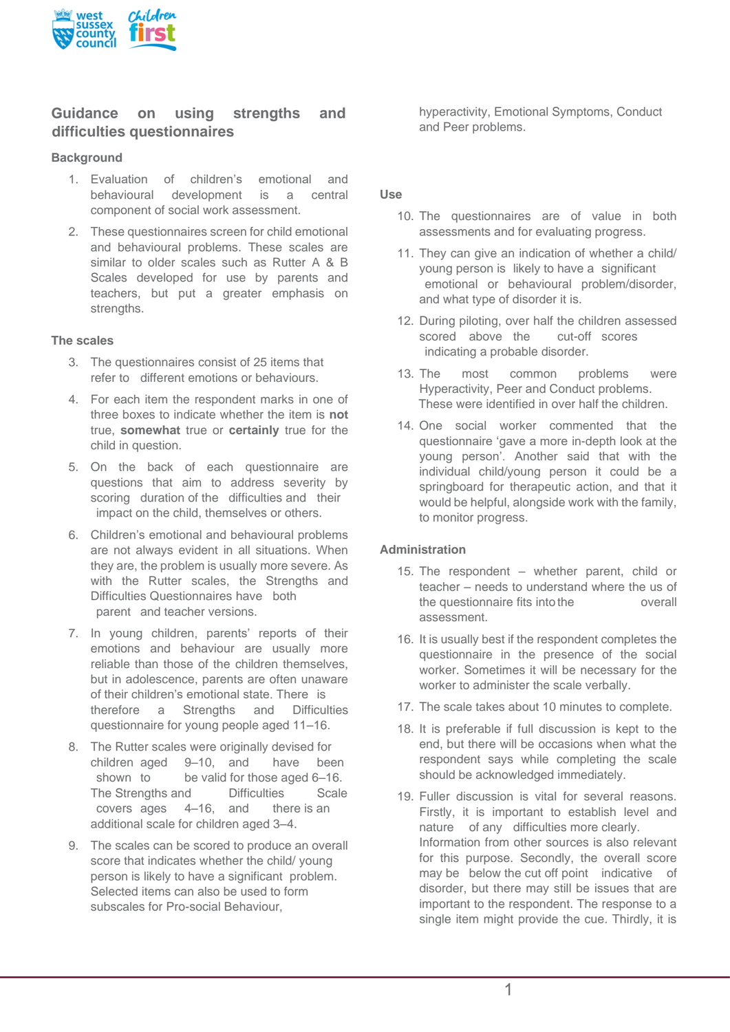

# **Guidance on using strengths and difficulties questionnaires**

### **Background**

- 1. Evaluation of children's emotional and behavioural development is a central component of social work assessment.
- 2. These questionnaires screen for child emotional and behavioural problems. These scales are similar to older scales such as Rutter A & B Scales developed for use by parents and teachers, but put a greater emphasis on strengths.

#### **The scales**

- 3. The questionnaires consist of 25 items that refer to different emotions or behaviours.
- 4. For each item the respondent marks in one of three boxes to indicate whether the item is **not** true, **somewhat** true or **certainly** true for the child in question.
- 5. On the back of each questionnaire are questions that aim to address severity by scoring duration of the difficulties and their impact on the child, themselves or others.
- 6. Children's emotional and behavioural problems are not always evident in all situations. When they are, the problem is usually more severe. As with the Rutter scales, the Strengths and Difficulties Questionnaires have both parent and teacher versions.
- 7. In young children, parents' reports of their emotions and behaviour are usually more reliable than those of the children themselves, but in adolescence, parents are often unaware of their children's emotional state. There is therefore a Strengths and Difficulties questionnaire for young people aged 11–16.
- 8. The Rutter scales were originally devised for children aged 9–10, and have been shown to be valid for those aged 6–16. The Strengths and Difficulties Scale covers ages 4–16, and there is an additional scale for children aged 3–4.
- 9. The scales can be scored to produce an overall score that indicates whether the child/ young person is likely to have a significant problem. Selected items can also be used to form subscales for Pro-social Behaviour,

hyperactivity, Emotional Symptoms, Conduct and Peer problems.

### **Use**

- 10. The questionnaires are of value in both assessments and for evaluating progress.
- 11. They can give an indication of whether a child/ young person is likely to have a significant emotional or behavioural problem/disorder, and what type of disorder it is.
- 12. During piloting, over half the children assessed scored above the cut-off scores indicating a probable disorder.
- 13. The most common problems were Hyperactivity, Peer and Conduct problems. These were identified in over half the children.
- 14. One social worker commented that the questionnaire 'gave a more in-depth look at the young person'. Another said that with the individual child/young person it could be a springboard for therapeutic action, and that it would be helpful, alongside work with the family, to monitor progress.

### **Administration**

- 15. The respondent whether parent, child or teacher – needs to understand where the us of the questionnaire fits into the overall assessment.
- 16. It is usually best if the respondent completes the questionnaire in the presence of the social worker. Sometimes it will be necessary for the worker to administer the scale verbally.
- 17. The scale takes about 10 minutes to complete.
- 18. It is preferable if full discussion is kept to the end, but there will be occasions when what the respondent says while completing the scale should be acknowledged immediately.
- 19. Fuller discussion is vital for several reasons. Firstly, it is important to establish level and nature of any difficulties more clearly. Information from other sources is also relevant for this purpose. Secondly, the overall score may be below the cut off point indicative of disorder, but there may still be issues that are important to the respondent. The response to a single item might provide the cue. Thirdly, it is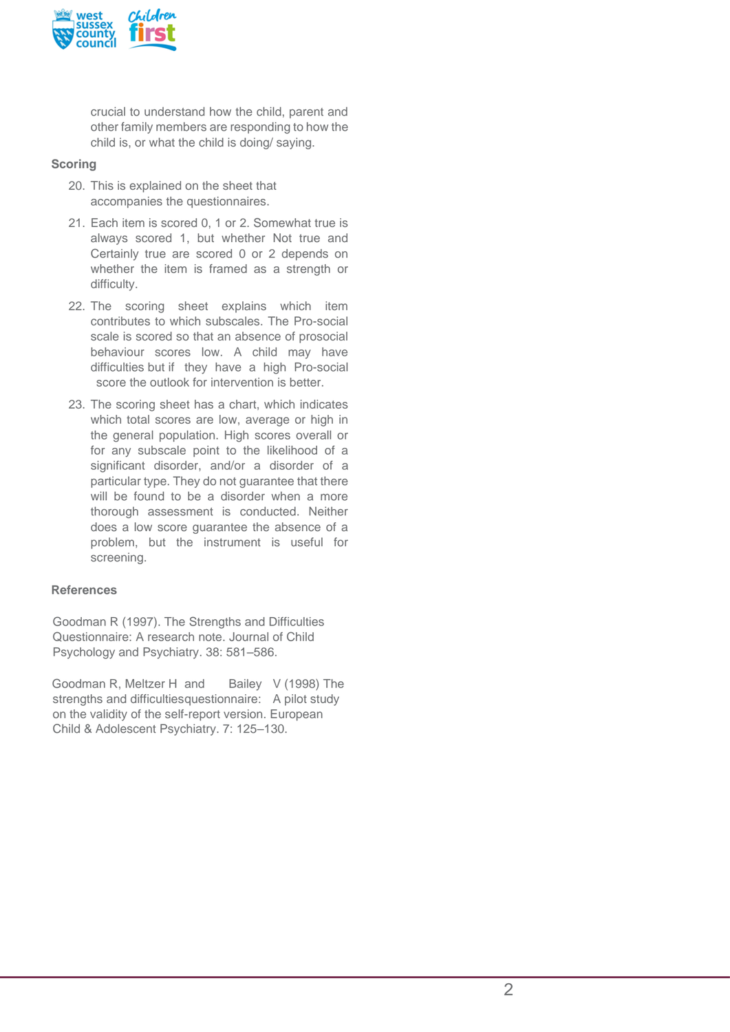

crucial to understand how the child, parent and other family members are responding to how the child is, or what the child is doing/ saying.

### **Scoring**

- 20. This is explained on the sheet that accompanies the questionnaires.
- 21. Each item is scored 0, 1 or 2. Somewhat true is always scored 1, but whether Not true and Certainly true are scored 0 or 2 depends on whether the item is framed as a strength or difficulty.
- 22. The scoring sheet explains which item contributes to which subscales. The Pro-social scale is scored so that an absence of prosocial behaviour scores low. A child may have difficulties but if they have a high Pro-social score the outlook for intervention is better.
- 23. The scoring sheet has a chart, which indicates which total scores are low, average or high in the general population. High scores overall or for any subscale point to the likelihood of a significant disorder, and/or a disorder of a particular type. They do not guarantee that there will be found to be a disorder when a more thorough assessment is conducted. Neither does a low score guarantee the absence of a problem, but the instrument is useful for screening.

### **References**

Goodman R (1997). The Strengths and Difficulties Questionnaire: A research note. Journal of Child Psychology and Psychiatry. 38: 581–586.

Goodman R, Meltzer H and Bailey V (1998) The strengths and difficultiesquestionnaire: A pilot study on the validity of the self-report version. European Child & Adolescent Psychiatry. 7: 125–130.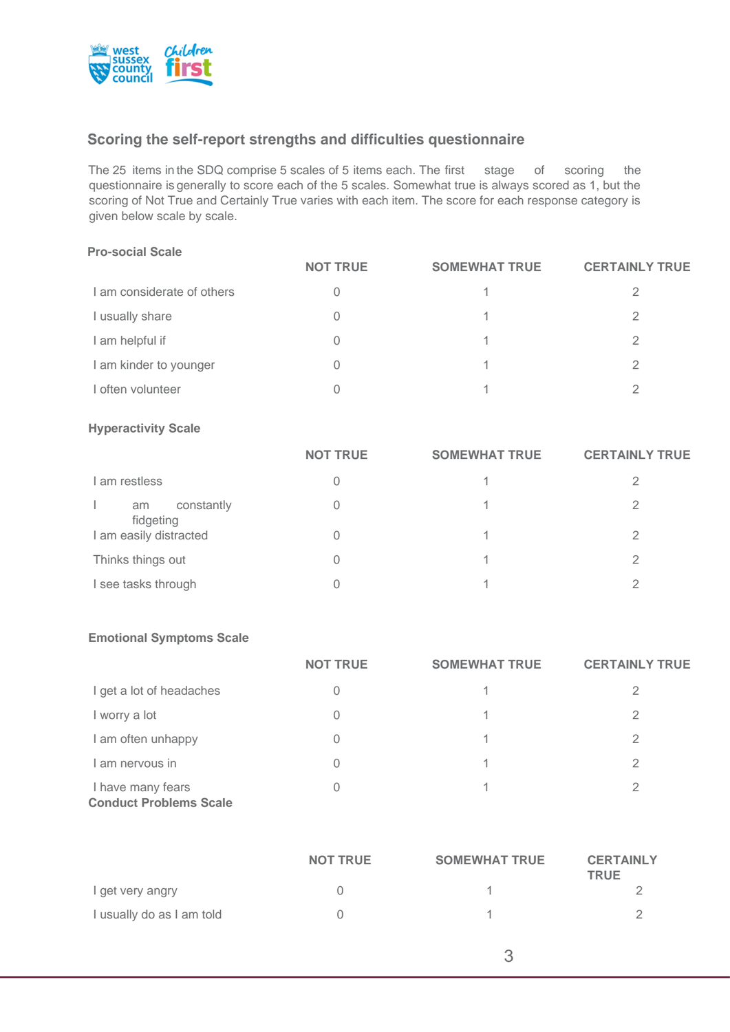

# **Scoring the self-report strengths and difficulties questionnaire**

The 25 items in the SDQ comprise 5 scales of 5 items each. The first stage of scoring the questionnaire is generally to score each of the 5 scales. Somewhat true is always scored as 1, but the scoring of Not True and Certainly True varies with each item. The score for each response category is given below scale by scale.

#### **Pro-social Scale**

|                            | <b>NOT TRUE</b> | <b>SOMEWHAT TRUE</b> | <b>CERTAINLY TRUE</b> |
|----------------------------|-----------------|----------------------|-----------------------|
| I am considerate of others |                 |                      |                       |
| I usually share            |                 |                      |                       |
| I am helpful if            |                 |                      |                       |
| I am kinder to younger     |                 |                      | 2                     |
| I often volunteer          |                 |                      |                       |

#### **Hyperactivity Scale**

|                               | <b>NOT TRUE</b> | <b>SOMEWHAT TRUE</b> | <b>CERTAINLY TRUE</b> |
|-------------------------------|-----------------|----------------------|-----------------------|
| I am restless                 | 0               |                      |                       |
| constantly<br>am<br>fidgeting | 0               |                      | っ                     |
| I am easily distracted        | 0               |                      |                       |
| Thinks things out             | 0               |                      |                       |
| I see tasks through           |                 |                      |                       |

### **Emotional Symptoms Scale**

|                                                    | <b>NOT TRUE</b> | <b>SOMEWHAT TRUE</b> | <b>CERTAINLY TRUE</b> |
|----------------------------------------------------|-----------------|----------------------|-----------------------|
| I get a lot of headaches                           |                 |                      | 2                     |
| I worry a lot                                      | 0               | 1.                   | 2                     |
| I am often unhappy                                 | 0               | 1.                   | 2                     |
| I am nervous in                                    | 0               | 1.                   | 2                     |
| I have many fears<br><b>Conduct Problems Scale</b> |                 |                      |                       |

|                           | <b>NOT TRUE</b> | <b>SOMEWHAT TRUE</b> | <b>CERTAINLY</b><br><b>TRUE</b> |
|---------------------------|-----------------|----------------------|---------------------------------|
| I get very angry          |                 |                      |                                 |
| I usually do as I am told |                 |                      |                                 |